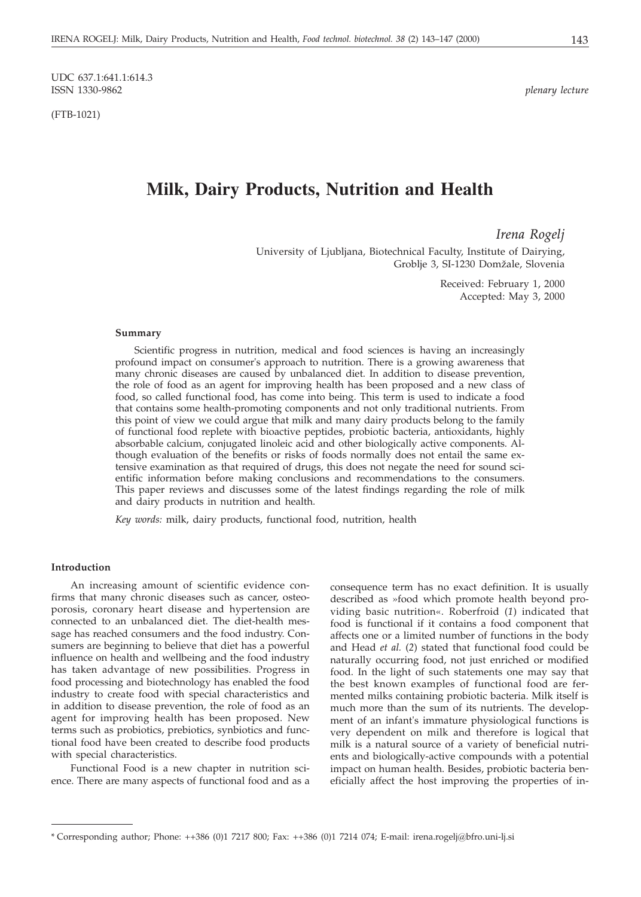UDC 637.1:641.1:614.3 ISSN 1330-9862 *plenary lecture*

(FTB-1021)

# **Milk, Dairy Products, Nutrition and Health**

*Irena Rogelj*

University of Ljubljana, Biotechnical Faculty, Institute of Dairying, Groblje 3, SI-1230 Domžale, Slovenia

> Received: February 1, 2000 Accepted: May 3, 2000

#### **Summary**

Scientific progress in nutrition, medical and food sciences is having an increasingly profound impact on consumer's approach to nutrition. There is a growing awareness that many chronic diseases are caused by unbalanced diet. In addition to disease prevention, the role of food as an agent for improving health has been proposed and a new class of food, so called functional food, has come into being. This term is used to indicate a food that contains some health-promoting components and not only traditional nutrients. From this point of view we could argue that milk and many dairy products belong to the family of functional food replete with bioactive peptides, probiotic bacteria, antioxidants, highly absorbable calcium, conjugated linoleic acid and other biologically active components. Although evaluation of the benefits or risks of foods normally does not entail the same extensive examination as that required of drugs, this does not negate the need for sound scientific information before making conclusions and recommendations to the consumers. This paper reviews and discusses some of the latest findings regarding the role of milk and dairy products in nutrition and health.

*Key words:* milk, dairy products, functional food, nutrition, health

#### **Introduction**

An increasing amount of scientific evidence confirms that many chronic diseases such as cancer, osteoporosis, coronary heart disease and hypertension are connected to an unbalanced diet. The diet-health message has reached consumers and the food industry. Consumers are beginning to believe that diet has a powerful influence on health and wellbeing and the food industry has taken advantage of new possibilities. Progress in food processing and biotechnology has enabled the food industry to create food with special characteristics and in addition to disease prevention, the role of food as an agent for improving health has been proposed. New terms such as probiotics, prebiotics, synbiotics and functional food have been created to describe food products with special characteristics.

Functional Food is a new chapter in nutrition science. There are many aspects of functional food and as a

consequence term has no exact definition. It is usually described as »food which promote health beyond providing basic nutrition«. Roberfroid (*1*) indicated that food is functional if it contains a food component that affects one or a limited number of functions in the body and Head *et al.* (*2*) stated that functional food could be naturally occurring food, not just enriched or modified food. In the light of such statements one may say that the best known examples of functional food are fermented milks containing probiotic bacteria. Milk itself is much more than the sum of its nutrients. The development of an infant's immature physiological functions is very dependent on milk and therefore is logical that milk is a natural source of a variety of beneficial nutrients and biologically-active compounds with a potential impact on human health. Besides, probiotic bacteria beneficially affect the host improving the properties of in-

<sup>\*</sup> Corresponding author; Phone: ++386 (0)1 7217 800; Fax: ++386 (0)1 7214 074; E-mail: irena.rogelj*@*bfro.uni-lj.si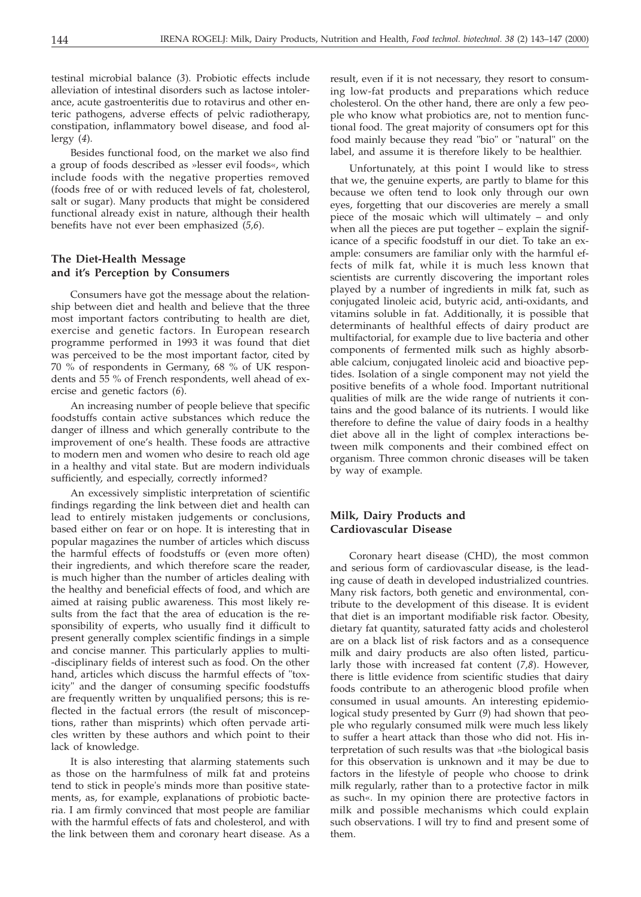testinal microbial balance (*3*). Probiotic effects include alleviation of intestinal disorders such as lactose intolerance, acute gastroenteritis due to rotavirus and other enteric pathogens, adverse effects of pelvic radiotherapy, constipation, inflammatory bowel disease, and food allergy (*4*).

Besides functional food, on the market we also find a group of foods described as »lesser evil foods«, which include foods with the negative properties removed (foods free of or with reduced levels of fat, cholesterol, salt or sugar). Many products that might be considered functional already exist in nature, although their health benefits have not ever been emphasized (*5,6*).

# **The Diet-Health Message and it's Perception by Consumers**

Consumers have got the message about the relationship between diet and health and believe that the three most important factors contributing to health are diet, exercise and genetic factors. In European research programme performed in 1993 it was found that diet was perceived to be the most important factor, cited by 70 % of respondents in Germany, 68 % of UK respondents and 55 % of French respondents, well ahead of exercise and genetic factors (*6*).

An increasing number of people believe that specific foodstuffs contain active substances which reduce the danger of illness and which generally contribute to the improvement of one's health. These foods are attractive to modern men and women who desire to reach old age in a healthy and vital state. But are modern individuals sufficiently, and especially, correctly informed?

An excessively simplistic interpretation of scientific findings regarding the link between diet and health can lead to entirely mistaken judgements or conclusions, based either on fear or on hope. It is interesting that in popular magazines the number of articles which discuss the harmful effects of foodstuffs or (even more often) their ingredients, and which therefore scare the reader, is much higher than the number of articles dealing with the healthy and beneficial effects of food, and which are aimed at raising public awareness. This most likely results from the fact that the area of education is the responsibility of experts, who usually find it difficult to present generally complex scientific findings in a simple and concise manner. This particularly applies to multi- -disciplinary fields of interest such as food. On the other hand, articles which discuss the harmful effects of "toxicity" and the danger of consuming specific foodstuffs are frequently written by unqualified persons; this is reflected in the factual errors (the result of misconceptions, rather than misprints) which often pervade articles written by these authors and which point to their lack of knowledge.

It is also interesting that alarming statements such as those on the harmfulness of milk fat and proteins tend to stick in people's minds more than positive statements, as, for example, explanations of probiotic bacteria. I am firmly convinced that most people are familiar with the harmful effects of fats and cholesterol, and with the link between them and coronary heart disease. As a

result, even if it is not necessary, they resort to consuming low-fat products and preparations which reduce cholesterol. On the other hand, there are only a few people who know what probiotics are, not to mention functional food. The great majority of consumers opt for this food mainly because they read "bio" or "natural" on the label, and assume it is therefore likely to be healthier.

Unfortunately, at this point I would like to stress that we, the genuine experts, are partly to blame for this because we often tend to look only through our own eyes, forgetting that our discoveries are merely a small piece of the mosaic which will ultimately – and only when all the pieces are put together – explain the significance of a specific foodstuff in our diet. To take an example: consumers are familiar only with the harmful effects of milk fat, while it is much less known that scientists are currently discovering the important roles played by a number of ingredients in milk fat, such as conjugated linoleic acid, butyric acid, anti-oxidants, and vitamins soluble in fat. Additionally, it is possible that determinants of healthful effects of dairy product are multifactorial, for example due to live bacteria and other components of fermented milk such as highly absorbable calcium, conjugated linoleic acid and bioactive peptides. Isolation of a single component may not yield the positive benefits of a whole food. Important nutritional qualities of milk are the wide range of nutrients it contains and the good balance of its nutrients. I would like therefore to define the value of dairy foods in a healthy diet above all in the light of complex interactions between milk components and their combined effect on organism. Three common chronic diseases will be taken by way of example.

# **Milk, Dairy Products and Cardiovascular Disease**

Coronary heart disease (CHD), the most common and serious form of cardiovascular disease, is the leading cause of death in developed industrialized countries. Many risk factors, both genetic and environmental, contribute to the development of this disease. It is evident that diet is an important modifiable risk factor. Obesity, dietary fat quantity, saturated fatty acids and cholesterol are on a black list of risk factors and as a consequence milk and dairy products are also often listed, particularly those with increased fat content (*7,8*). However, there is little evidence from scientific studies that dairy foods contribute to an atherogenic blood profile when consumed in usual amounts. An interesting epidemiological study presented by Gurr (*9*) had shown that people who regularly consumed milk were much less likely to suffer a heart attack than those who did not. His interpretation of such results was that »the biological basis for this observation is unknown and it may be due to factors in the lifestyle of people who choose to drink milk regularly, rather than to a protective factor in milk as such«. In my opinion there are protective factors in milk and possible mechanisms which could explain such observations. I will try to find and present some of them.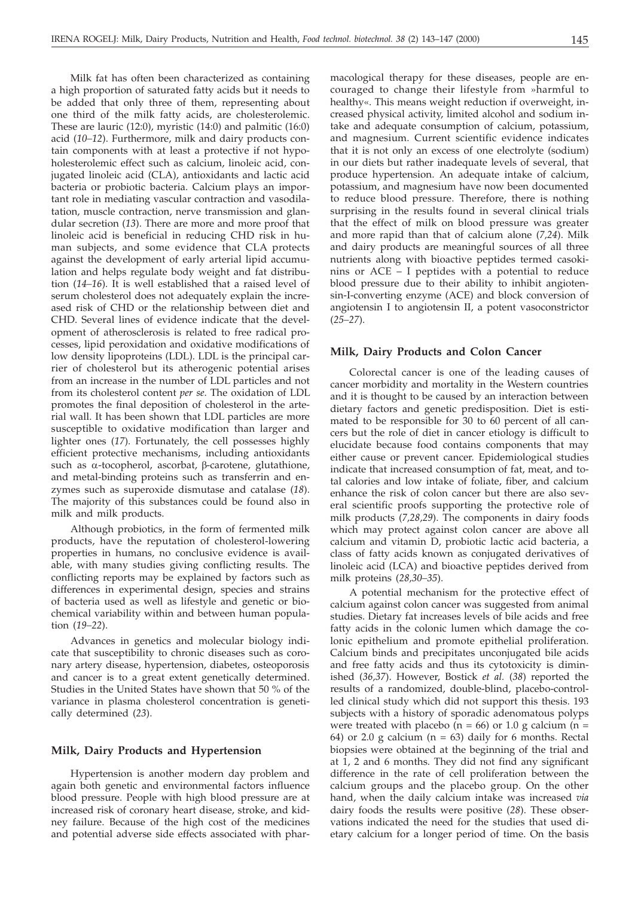Milk fat has often been characterized as containing a high proportion of saturated fatty acids but it needs to be added that only three of them, representing about one third of the milk fatty acids, are cholesterolemic. These are lauric (12:0), myristic (14:0) and palmitic (16:0) acid (*10–12*). Furthermore, milk and dairy products contain components with at least a protective if not hypoholesterolemic effect such as calcium, linoleic acid, conjugated linoleic acid (CLA), antioxidants and lactic acid bacteria or probiotic bacteria. Calcium plays an important role in mediating vascular contraction and vasodilatation, muscle contraction, nerve transmission and glandular secretion (*13*). There are more and more proof that linoleic acid is beneficial in reducing CHD risk in human subjects, and some evidence that CLA protects against the development of early arterial lipid accumulation and helps regulate body weight and fat distribution (*14–16*). It is well established that a raised level of serum cholesterol does not adequately explain the increased risk of CHD or the relationship between diet and CHD. Several lines of evidence indicate that the development of atherosclerosis is related to free radical processes, lipid peroxidation and oxidative modifications of low density lipoproteins (LDL). LDL is the principal carrier of cholesterol but its atherogenic potential arises from an increase in the number of LDL particles and not from its cholesterol content *per se*. The oxidation of LDL promotes the final deposition of cholesterol in the arterial wall. It has been shown that LDL particles are more susceptible to oxidative modification than larger and lighter ones (*17*). Fortunately, the cell possesses highly efficient protective mechanisms, including antioxidants such as  $\alpha$ -tocopherol, ascorbat, β-carotene, glutathione, and metal-binding proteins such as transferrin and enzymes such as superoxide dismutase and catalase (*18*). The majority of this substances could be found also in milk and milk products.

Although probiotics, in the form of fermented milk products, have the reputation of cholesterol-lowering properties in humans, no conclusive evidence is available, with many studies giving conflicting results. The conflicting reports may be explained by factors such as differences in experimental design, species and strains of bacteria used as well as lifestyle and genetic or biochemical variability within and between human population (*19–22*).

Advances in genetics and molecular biology indicate that susceptibility to chronic diseases such as coronary artery disease, hypertension, diabetes, osteoporosis and cancer is to a great extent genetically determined. Studies in the United States have shown that 50 % of the variance in plasma cholesterol concentration is genetically determined (*23*).

# **Milk, Dairy Products and Hypertension**

Hypertension is another modern day problem and again both genetic and environmental factors influence blood pressure. People with high blood pressure are at increased risk of coronary heart disease, stroke, and kidney failure. Because of the high cost of the medicines and potential adverse side effects associated with pharmacological therapy for these diseases, people are encouraged to change their lifestyle from »harmful to healthy«. This means weight reduction if overweight, increased physical activity, limited alcohol and sodium intake and adequate consumption of calcium, potassium, and magnesium. Current scientific evidence indicates that it is not only an excess of one electrolyte (sodium) in our diets but rather inadequate levels of several, that produce hypertension. An adequate intake of calcium, potassium, and magnesium have now been documented to reduce blood pressure. Therefore, there is nothing surprising in the results found in several clinical trials that the effect of milk on blood pressure was greater and more rapid than that of calcium alone (*7,24*). Milk and dairy products are meaningful sources of all three nutrients along with bioactive peptides termed casokinins or ACE – I peptides with a potential to reduce blood pressure due to their ability to inhibit angiotensin-I-converting enzyme (ACE) and block conversion of angiotensin I to angiotensin II, a potent vasoconstrictor (*25–27*).

#### **Milk, Dairy Products and Colon Cancer**

Colorectal cancer is one of the leading causes of cancer morbidity and mortality in the Western countries and it is thought to be caused by an interaction between dietary factors and genetic predisposition. Diet is estimated to be responsible for 30 to 60 percent of all cancers but the role of diet in cancer etiology is difficult to elucidate because food contains components that may either cause or prevent cancer. Epidemiological studies indicate that increased consumption of fat, meat, and total calories and low intake of foliate, fiber, and calcium enhance the risk of colon cancer but there are also several scientific proofs supporting the protective role of milk products (*7,28,29*). The components in dairy foods which may protect against colon cancer are above all calcium and vitamin D, probiotic lactic acid bacteria, a class of fatty acids known as conjugated derivatives of linoleic acid (LCA) and bioactive peptides derived from milk proteins (*28,30–35*).

A potential mechanism for the protective effect of calcium against colon cancer was suggested from animal studies. Dietary fat increases levels of bile acids and free fatty acids in the colonic lumen which damage the colonic epithelium and promote epithelial proliferation. Calcium binds and precipitates unconjugated bile acids and free fatty acids and thus its cytotoxicity is diminished (*36,37*). However, Bostick *et al.* (*38*) reported the results of a randomized, double-blind, placebo-controlled clinical study which did not support this thesis. 193 subjects with a history of sporadic adenomatous polyps were treated with placebo ( $n = 66$ ) or 1.0 g calcium ( $n =$ 64) or 2.0 g calcium  $(n = 63)$  daily for 6 months. Rectal biopsies were obtained at the beginning of the trial and at 1, 2 and 6 months. They did not find any significant difference in the rate of cell proliferation between the calcium groups and the placebo group. On the other hand, when the daily calcium intake was increased *via* dairy foods the results were positive (*28*). These observations indicated the need for the studies that used dietary calcium for a longer period of time. On the basis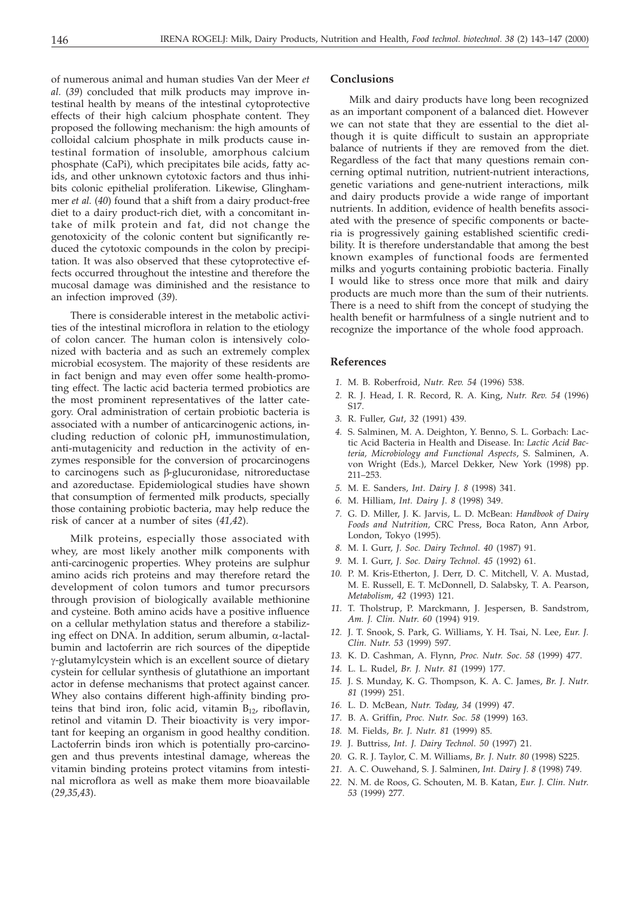of numerous animal and human studies Van der Meer *et al.* (*39*) concluded that milk products may improve intestinal health by means of the intestinal cytoprotective effects of their high calcium phosphate content. They proposed the following mechanism: the high amounts of colloidal calcium phosphate in milk products cause intestinal formation of insoluble, amorphous calcium phosphate (CaPi), which precipitates bile acids, fatty acids, and other unknown cytotoxic factors and thus inhibits colonic epithelial proliferation. Likewise, Glinghammer *et al.* (*40*) found that a shift from a dairy product-free diet to a dairy product-rich diet, with a concomitant intake of milk protein and fat, did not change the genotoxicity of the colonic content but significantly reduced the cytotoxic compounds in the colon by precipitation. It was also observed that these cytoprotective effects occurred throughout the intestine and therefore the mucosal damage was diminished and the resistance to an infection improved (*39*).

There is considerable interest in the metabolic activities of the intestinal microflora in relation to the etiology of colon cancer. The human colon is intensively colonized with bacteria and as such an extremely complex microbial ecosystem. The majority of these residents are in fact benign and may even offer some health-promoting effect. The lactic acid bacteria termed probiotics are the most prominent representatives of the latter category. Oral administration of certain probiotic bacteria is associated with a number of anticarcinogenic actions, including reduction of colonic pH, immunostimulation, anti-mutagenicity and reduction in the activity of enzymes responsible for the conversion of procarcinogens to carcinogens such as β-glucuronidase, nitroreductase and azoreductase. Epidemiological studies have shown that consumption of fermented milk products, specially those containing probiotic bacteria, may help reduce the risk of cancer at a number of sites (*41,42*).

Milk proteins, especially those associated with whey, are most likely another milk components with anti-carcinogenic properties. Whey proteins are sulphur amino acids rich proteins and may therefore retard the development of colon tumors and tumor precursors through provision of biologically available methionine and cysteine. Both amino acids have a positive influence on a cellular methylation status and therefore a stabilizing effect on DNA. In addition, serum albumin,  $\alpha$ -lactalbumin and lactoferrin are rich sources of the dipeptide -glutamylcystein which is an excellent source of dietary cystein for cellular synthesis of glutathione an important actor in defense mechanisms that protect against cancer. Whey also contains different high-affinity binding proteins that bind iron, folic acid, vitamin  $B_{12}$ , riboflavin, retinol and vitamin D. Their bioactivity is very important for keeping an organism in good healthy condition. Lactoferrin binds iron which is potentially pro-carcinogen and thus prevents intestinal damage, whereas the vitamin binding proteins protect vitamins from intestinal microflora as well as make them more bioavailable (*29,35,43*).

# **Conclusions**

Milk and dairy products have long been recognized as an important component of a balanced diet. However we can not state that they are essential to the diet although it is quite difficult to sustain an appropriate balance of nutrients if they are removed from the diet. Regardless of the fact that many questions remain concerning optimal nutrition, nutrient-nutrient interactions, genetic variations and gene-nutrient interactions, milk and dairy products provide a wide range of important nutrients. In addition, evidence of health benefits associated with the presence of specific components or bacteria is progressively gaining established scientific credibility. It is therefore understandable that among the best known examples of functional foods are fermented milks and yogurts containing probiotic bacteria. Finally I would like to stress once more that milk and dairy products are much more than the sum of their nutrients. There is a need to shift from the concept of studying the health benefit or harmfulness of a single nutrient and to recognize the importance of the whole food approach.

### **References**

- *1.* M. B. Roberfroid, *Nutr. Rev. 54* (1996) 538.
- *2.* R. J. Head, I. R. Record, R. A. King, *Nutr. Rev. 54* (1996) S17.
- *3.* R. Fuller, *Gut*, *32* (1991) 439.
- *4.* S. Salminen, M. A. Deighton, Y. Benno, S. L. Gorbach: Lactic Acid Bacteria in Health and Disease. In: *Lactic Acid Bacteria, Microbiology and Functional Aspects*, S. Salminen, A. von Wright (Eds.), Marcel Dekker, New York (1998) pp. 211–253.
- *5.* M. E. Sanders, *Int. Dairy J. 8* (1998) 341.
- *6.* M. Hilliam, *Int. Dairy J*. *8* (1998) 349.
- *7.* G. D. Miller, J. K. Jarvis, L. D. McBean: *Handbook of Dairy Foods and Nutrition,* CRC Press, Boca Raton, Ann Arbor, London, Tokyo (1995).
- *8.* M. I. Gurr, *J. Soc. Dairy Technol*. *40* (1987) 91.
- *9.* M. I. Gurr, *J. Soc. Dairy Technol*. *45* (1992) 61.
- *10.* P. M. Kris-Etherton, J. Derr, D. C. Mitchell, V. A. Mustad, M. E. Russell, E. T. McDonnell, D. Salabsky, T. A. Pearson, *Metabolism*, *42* (1993) 121.
- *11.* T. Tholstrup, P. Marckmann, J. Jespersen, B. Sandstrom, *Am. J. Clin. Nutr*. *60* (1994) 919.
- *12.* J. T. Snook, S. Park, G. Williams, Y. H. Tsai, N. Lee, *Eur. J. Clin. Nutr*. *53* (1999) 597.
- *13.* K. D. Cashman, A. Flynn, *Proc. Nutr. Soc*. *58* (1999) 477.
- *14.* L. L. Rudel, *Br. J. Nutr*. *81* (1999) 177.
- *15.* J. S. Munday, K. G. Thompson, K. A. C. James, *Br. J. Nutr*. *81* (1999) 251.
- *16.* L. D. McBean, *Nutr. Today*, *34* (1999) 47.
- *17.* B. A. Griffin, *Proc. Nutr. Soc. 58* (1999) 163.
- *18.* M. Fields, *Br. J. Nutr*. *81* (1999) 85.
- *19.* J. Buttriss, *Int. J. Dairy Technol*. *50* (1997) 21.
- *20.* G. R. J. Taylor, C. M. Williams, *Br. J. Nutr. 80* (1998) S225.
- *21.* A. C. Ouwehand, S. J. Salminen, *Int. Dairy J. 8* (1998) 749.
- *22.* N. M. de Roos, G. Schouten, M. B. Katan, *Eur. J. Clin. Nutr*. *53* (1999) 277.